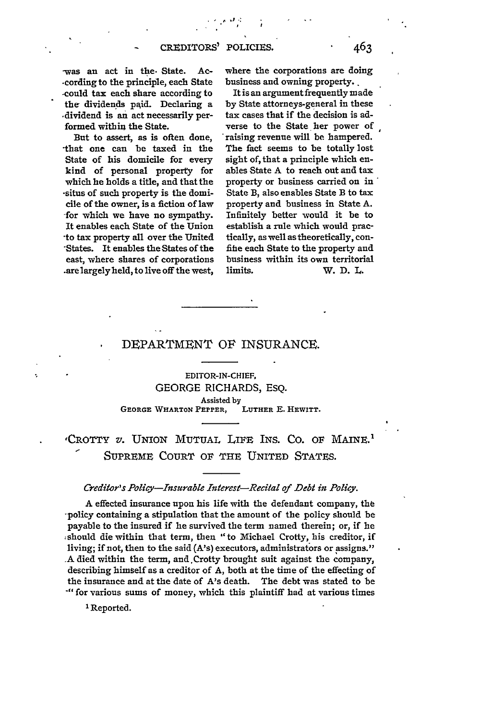\* - ~ I

-was an act in the. State. Ac- -cording to the principle, each State -could tax each share according to the dividends pqid. Declaring a -dividend is an act necessarily performed within the State.

But to assert, as is often done, -that one can be taxed in the State of his domicile for every kind of personal property for which he holds a title, and that the •situs of such property is the domicile of the owner, is a fiction of law for which we have no sympathy. It enables each State of the Union -to tax property all over the United \*States. It enables the States of the east, where shares of corporations .are largely held, to live off the west,

where the corporations are doing business and owning property. **.**

It is an argument frequently made **by** State attorneys-general in these tax cases that if the decision is adverse to the State her power of \*raising revenue will **be** hampered. The fact seems to be totally lost sight of, that a principle which enables State **A** to reach out and tax property or business carried on in State B, also enables State B to tax property and business in State **A.** Infinitely better would it be to establish a rule which would practically, as well as theoretically, confine each State to the property and business within its own territorial limits. W. **D.** L.

# DEPARTMENT **OF INSURANCE.**

## EDITOR-IN-CHIEF, **GEORGE** RICHARDS, **ESQ.** Assisted by<br>'EPPER, LUTHER E. HEWITT. **GEORGE WHARTON PEPPER,**

'CROTTY *V.* UNION MUTUAL LIFE INS. Co. **OF** MAINE.' SUPREME COURT OF THE UNITED STATES.

#### *Creditor's Policy-Insurable Interest-Recital of Debt in Policy.*

**A** effected insurance upon his life with the defendant company, the -policy containing a stipulation that the amount of the policy should be payable to the insured if he survived the term named therein; or, if he ;should die within that term, then "to Michael Crotty, his creditor, if living; if not, then to the said (A's) executors, administrators or assigns." **.A** died within the term, and.Crotty brought suit against the company, describing himself as a creditor of **A,** both at the time of the effecting of the insurance and at the date of A's death. The debt was stated to be "'for various sums of money, which this plaintiff had at various times

**I** Reported.

463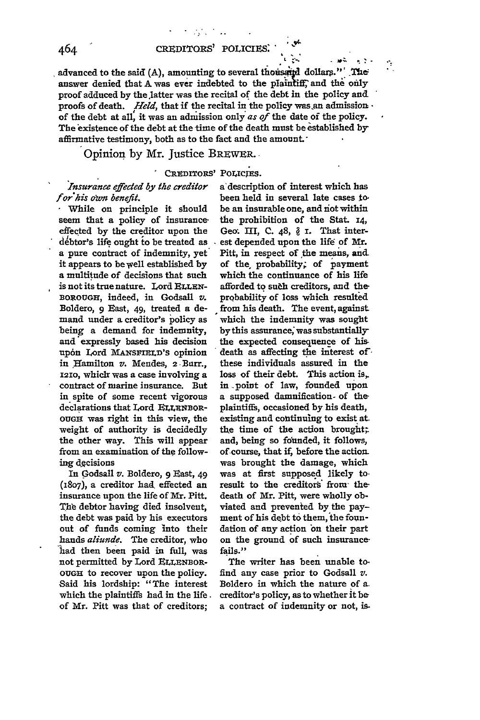advanced to the said (A), amounting to several thousand dollars." The answer denied that A was ever indebted to the plaintiff, and the only proof adduced **by** the latter was the recital of the debt in the policy and proofs of death. *Held*, that if the recital in the policy was an admission. of the debt at all, it was an admission only *as of* the date of the policy. The existence of the debt at the time of the death must be established **by** affirmative testimony, both as to the fact and the amount.

Opinion **by** Mr. Justice BREWER.

#### CREDITORS' POLICiES.

*or'his otwn benefit.* been held in several late cases to.

seem that a policy of insurance the prohibition of the Stat. **14,** eflected **by** the creditor upon the Geo III, **C.** 48, **i.** That interdebtor's life ought to be treated as est depended upon the life of *Mr.* a pure contract of indemnity, yet Pitt, in respect of the means, and it appears to be well established **by** of the, probability; of payment a multitude of decisions that such which the continuance of his life is not its true nature. Lord **ELLEzN-** afforded **to** suh creditors, and the **BOROUGH,** indeed, in Godsall *v.* probability of loss which resulted Boldero, 9 East, 49, treated a de- from his death. The event, against mand under a creditor's policy as which the indemnity was sought being a demand for indemnity, bythis assurance, was substantiallyand expressly based his decision the expected consequence of hisupón Lord MANSFIELD's opinion death as affecting the interest of in 'Hamilton v. Mendes, 2.Barr., these individuals assured in the **1210,** which was a case involving a loss of their debt. This action is, contract of marine insurance. But in point of law, founded upon in spite of some recent vigorous a supposed damnification- of the declarations that Lord Uir.4BOR- plaintiffs, occasioned **by** his death, **OUGH** was right in this view, the existing and conitinuing to exist at. weight of authority is decidedly the time of the action brought; the other way. This will appear and, being so founded, it follows, from an examination of the follow- of-course, that if, before the action-

(1807), a creditor had effected an result to the creditors from theinsurance upon the life of Mr. Pitt. death of Mr. Pitt, were wholly ob-The debtor having died insolvent, viated and prevented by the paythe debt was paid **by** his executors ment of his debt to them, the founout of funds coming into their dation of any action on their part hands *aliunde.* The creditor, who on the ground of such insurancehad then been paid in full, was fails." not permitted by Lord ELLENBOR- The writer has been unable to**ough to recover upon the policy.** find any case prior to Godsall  $v$ . Said his lordship: "The interest Boldero in which the nature of **a**which the plaintiffs had in the life. creditor's policy, as to whether it be

*Insurance effected by the creditor* a'description of interest which has **,** While on principle it should be an insurable one, and not within ing djcisions was brought the damage, which In Godsall *v.* Boldero, 9 East, 49 was at first supposed likely to.

L **. V :.**

Ĵ.

of Mr. Pitt was that of creditors; a contract of indemnity or not, is-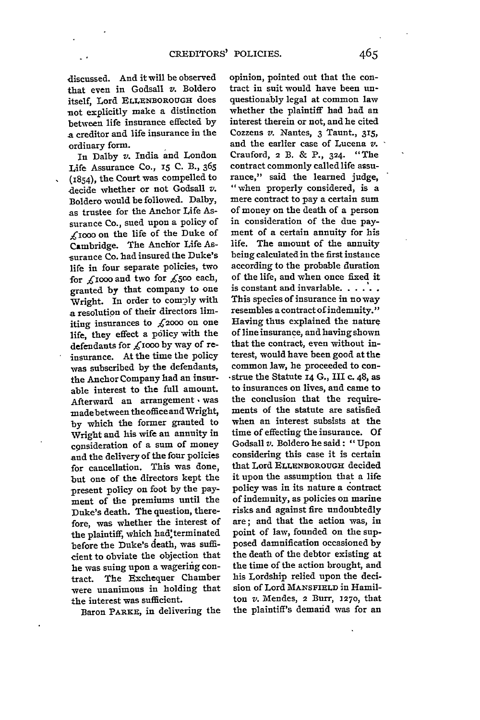discussed. And it will be observed that even in Godsall *v.* Boldero itself, Lord ELLENBOROUGH does not explicitly make a distinction between life insurance effected **by** a creditor and life insurance in the ordinary form.

In Dalby *v.* India and London Life Assurance Co., **15** C. B., **365** (1854), the Court was compelled to decide whether or not Godsall *V.* Boldero would be followed. Dalby, as trustee for the Anchor Life Assurance Co., sued upon a policy of **£1ooo** on the life of the Duke of Cambridge. The Anchor Life Assurance Co. had insured the Duke's life in four separate policies, two for  $\zeta$  1000 and two for  $\zeta$ 500 each, granted **by** that company to one Wright. In order to comply with a resolution of their directors limiting insurances to  $\angle 2000$  on one life, they effect a policy with the defendants for £1000 by way of reinsurance. At the time the policy was subscribed **by** the defendants, the Anchor Company had an insurable interest to the full amount. Afterward an arrangement was made between theoffice and Wright, by which the former granted to Wright and his wife an annuity in cgnsideration of a sum of money and the delivery of the four policies for cancellation. This was done, but one of the directors kept the present policy on foot by the payment of the premiums until the Duke's death. The question, therefore, was whether the interest of the plaintiff, which had terminated before the Duke's death, was sufficient to obviate the objection that he was suing upon a wagering contract. The Exchequer Chamber were unanimous in holding that the interest was sufficient.

Baron PARKE, in delivering the

opinion, pointed out that the contract in suit would have been unquestionably legal at common law whether the plaintiff had had an interest therein or not, and he cited Cozzens *v.* Nantes, 3 Taunt., 315, and the earlier case of Lucena *v.* Crauford, 2 B. & P., 324. "The contract commonly called life assurance," said the learned judge, "when properly considered, is a mere contract to pay a certain sum of money on the death of a person in consideration of the due payment of a certain annuity for his life. The amount of the annuity being calculated in the first instance according to the probable duration of the life, and when once fixed **it** is constant and invariable.  $\dots$ . This species of insurance in no way resembles a contract of indemnity." Having thus explained the nature of line insurance, and having shown that the contract, even without interest, would have been good at the common law, he proceeded to con- •strue the Statute 14 **G.,** III c. 48, as to insurances on lives, and came to the conclusion that the requirements of the statute are satisfied when an interest subsists at the time of effecting the insurance. Of Godsall *v.* Boldero he said: "Upon considering this case it is certain that Lord **ELLENBOROUGH** decided it upon the assumption that a life policy was in its nature a contract of indemnity, as policies on marine risks and against fire undoubtedly are; and that the action was, in point of law, founded on the supposed damnification occasioned by the death of the debtor existing at the time of the action brought, and his Lordship relied upon the decision of Lord **MANSFIZLD** in Hamilton *v.* Mendes, **2** Burr, **1270,** that the plaintiff's demand was for an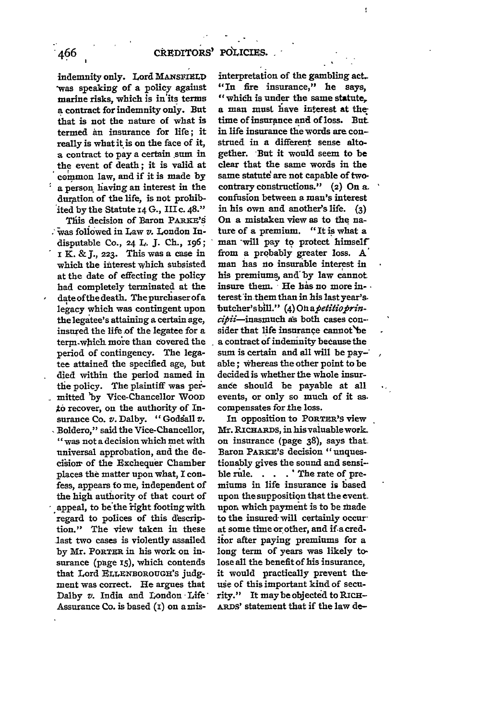indemnity only. Lord **MANSPiELP** -was speaking **of** a policy against marine risks, which is in'its terms a contract for indemnity only. But that is not the nature of what is termed **an** insurance for life; it really is what it is on the face of it, a contract to pay a certain sum in the event of death; it is valid at conmon law, and if it is made **by** a person having an interest in the duration of the life, is not prohibited **by** the Statute 14 **G.,** III **C.** 482'

This decision of Baron **PARxE's** as followed in Law *v.* London Indisputable **Co.,** 24 L. **J. Ch.,** 196; *<sup>I</sup>*K. **& J., 223.** This was **a** case in which the interest which subsisted at the date of effecting the policy had completely terminated at the dateofthe death. The purclaser ofa legacy which was contingent upon the legatee's attaining a certain age, insured the life **of** the legatee for a terpi-which more than covered the period of contingency. The legatee attained the specified age, but died within the period named in the policy. The plaintiff was permitted **'by** Vice-Chancellor WOOD to recover, on the authority of Insurance Co. v. Dalby. "Godsall v. . Boldero," said the Vice-Chancellor, "was not a decision which met with universal approbation, and the decision of the Exchequer Chamber places the matter upon what, I confess, appears to me, independent **of** the **high** authority of that court of appeal, to be the right footing with regard to polices of this description." The view taken in these last two cases is violently assailed **by** Mr. PORTER in his work on insurance (page **15),** which contends that Lord **ELL-NBOROUGH'S judg**ment was correct. He argues that Dalby v. India and London Life Assurance Co. is based **(i)** on amisinterpretation of the gambling act. "In fire insurance," he says, "which is under the same statute., a man must have interest at thetime of insurance and of loss. But in life insurance the words are construed in a different sense altogether. -But it would seem to be clear that the same words in the same statute' are not capable of twocontrary constructions." **(2) On** a. confusion between a man's interest in his own and another's life. **(3)** On a mistaken view as to the nature of a premium. "It is what a man -will pay to protect himself from a probably greater loss. **A'** man has no insurable interest in his premiums, and'by law cannot insure them. He has no more interest in them than in his last year's. butcher'sbill." (4) On a *petitio prin*cipii-inasmuch as both cases con- sider that life insurance cannot'be a contract of indemnity because the sum is certain and all will be **pay**able; whereas the other point to be decided is whether the whole insur**ane** should be payable at all events, or only so much of it as. compensates for the loss.

ŧ

In opposition to PORTER'S view MT. RICHARDS, in his valuable work on insurance (page **38),** says that. Baron **PARKE'S** decision "unquestionably gives the sound and sensible rule. **. . .'** The rate of premiums in life insurance is based upon the supposition that the event. upon which payment is to be made to the insured-will certainly occurat some time or other, and if-a creditor after paying premiums for a long term of years was likely to. lose all the benefit of his insurance, it would practically prevent theuse of this important kind of security." It maybe objected to RICH-**ARDS'** statement that if the law de-

466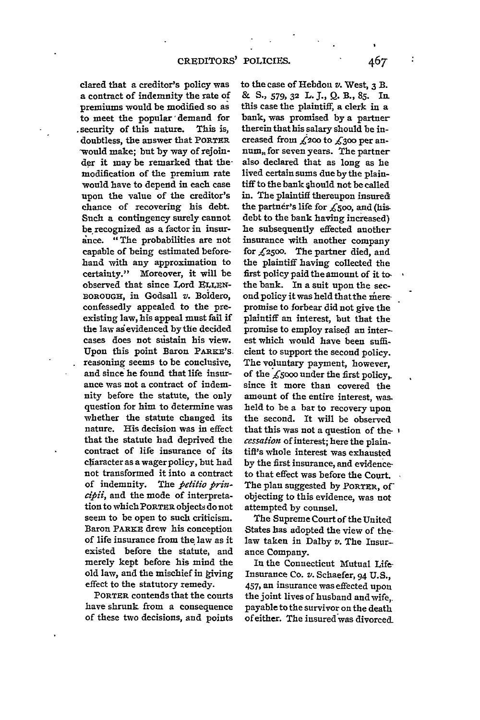dared that a creditor's policy was a contract of indemnity the rate of premiums would be modified so as to meet the popular demand for .security of this nature. This is, doubtless, the answer that **PORTER** -would make; but **by** way of rejoinder it may be remarked that themodification of the premium rate would have to depend in each case upon the value of the creditor's chance of recovering his debt. Such a contingency surely cannot be recognized as a factor in insurance. "The probabilities are not capable of being estimated beforehand with any approximation to certainty." Moreover, it will be  $\alpha$  observed that since Lord ELLEN-**BOROUGH,** in Godsall *v.* Boidero, confessedly appealed to the preexisting law, his appeal must fail if the law ai evidenced **by** the decided cases does not suistain his view. Upon this point Baron PARKE'S. reasoning seems to be conclusive, and since he found that life insurance was not a contract of indemnity before the statute, the only question for him to determine was whether the statute changed its nature. His decision was in effect that the statute had deprived the contract of life insurance of its character as a wager policy, but had not transformed it into a contract of indemnity. The *fietitio princzifi,* and the mode of interpretation to which **PoRT R** objects do not seem to be open to such criticism. Baron PARKE drew his conception of life insurance from the law as it existed before the statute, and merely kept before his mind the old law, and the mischief in giving effect to the statutory remedy.

**PORTER** contends that the courts have shrunk from a consequence of these two decisions, and points

to the case of Hebdon v. West, **3 B. & S., 579, 32** L.J., **Q.** B., **85.** In. this case the plaintiff, a clerk in a bank, was promised **by** a partner therein that his salary should be increased from **2oo** to **£r3oo** per annum,, for seven years. The partner also declared that as long as he lived certain sums due **by** the plaintiff to the bank should not be called in. The plaintiff thereupon insure& the partner's life for  $\sqrt{5}$ 00, and (hisdebt to the bank having increased) he subsequently effected anotherinsurance with another company for **£,25oo.** The partner died, and the plaintiff having collected the first policy paid the amount of it tothe bank. In a suit upon the second policy it was held that the merepromise to forbear did not give the plaintiff an interest, but that the promise to employ raised an interest which would have been sufficient to support the second policy. The voluntary payment, however, of the **C5ooo** under the first policy, since it more than covered the amount of the entire interest, was. held to be a bar to recovery upon the second. It will be observed that this was not a question of the*cessation* of interest; here the plaintiff's whole interest was exhausted **by** the first insurance, and evidenceto that effect was before the Court. The plan suggested by **PORTER, of'** objecting to this evidence, was not attempted **by** counsel.

The Supreme Court of the United States has adopted the view of thelaw taken in Dalby *v.* The Insurance Company.

In the Connecticut Mutual Life-Insurance Co. *v.* Schaefer, 94 **U.S.,** 457, an insurance was effected upon the joint lives of husband and wife, payable to the survivor on the death of either. The insured was divorced.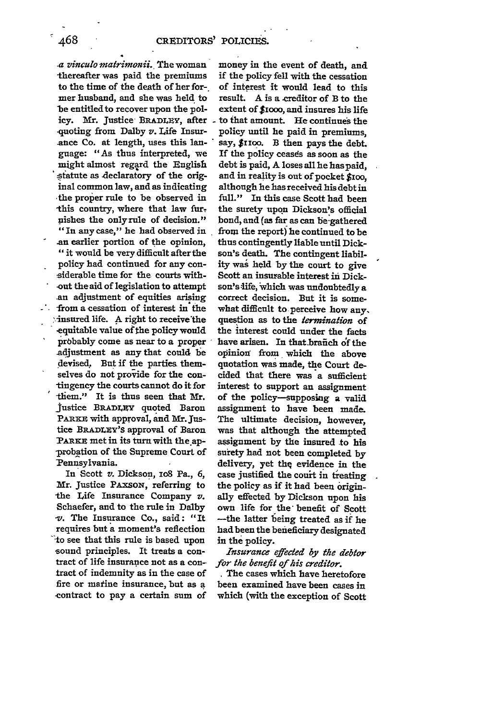*.a vinculo matrimonii..* The woman thereafter was paid the premiums to the time of the death of her former husband, and she was held to be entitled to recover upon the **pol**icy. Mr. Justice BRADLEY, after - to that amount. He continues the quoting from Dalby *v.* Life Insurance Co. at length, uses this language: "As thus interpreted, we might almost regard the English statute as declaratory of the original common law, and as indicating -the proper rule to be observed in this country, where that law furnishes the onlyrule of decision." "In any case," he had observed in an earlier portion of the opinion, "it would be very difficult after the policy had continued for any con siderable time for the courts with--out the aid of legislation to attempt -an adjustment of equities arising **-** from a cessation of interest in the insured life. A right to receive the -equitable value of the policy would probably come as near to a proper adjustment as any that could **be** devised, But if the parties themselves do not provide for the contingency the courts cannot do it for -tiem." It is thus seen that Mr. justice **BRADLEY** quoted Baron PARKE with approval, and Mr. Justice **BRADLZY'S** approval of Baron PARKE met in its turn with the ap--probation of the Supreme Court of Pennsylvania.

In Scott *v.* Dickson, xo8 Pa., **6,** Mr. Justice **PAXSON,** referring to the Life Insurance Company v. Schaefer, and to the rule in Dalby  $v$ . The Insurance Co., said: "It requires but a moment's reflection -to see that this rule is based upon sound principles. It treats a contract of life insurance not as a contract of indemnity as in the case of fire or matine insurance, but as **a** -contract to pay a certain sum of

money in the event of death, and if the policy fell with the cessation of interest it would lead to this result. A is a creditor of B to the extent of \$iooo, and insures his life policy until he paid in premiums, say, \$1100. B then pays the debt. If the policy ceasds as soon as the debt is paid, **A** loses all he has paid, and in reality is out of pocket \$ioo, although he has received his debt in full." In this case Scott had been the surety upon Dickson's official bond, and (as far as can be-gathered from the report) he continued to be thus contingently liable until Dickson's death. The contingent liability wai **held by the** court to give Scott an insurable interest in Dickson's life, which was undoubtedly a correct decision. But it is somewhat difficult to perceive how any. question as to the *termination* **of** the interest could under the facts have arisen. In that.brafich **o'f** the opinion from which the above quotation was made, the Court decided that there was a sufficient interest to support an assignment of the policy-supposing a valid assignment to have been made. The ultimate decision, however, was that although the attempted assignment **by** the insured to his surety had not been completed **by** delivery, yet the evidence in the case justified the couit in treating the policy as if it had been originally effected **by** Dickson upon his own life for the" benefit of Scott -the latter being treated as if he had been the beneficiary designated in the policy.

### *Insurance effected by the debtor for the benefit of his creditor.*

**.** The cases which have heretofore been examined have been cases in which (with the exception of Scott

468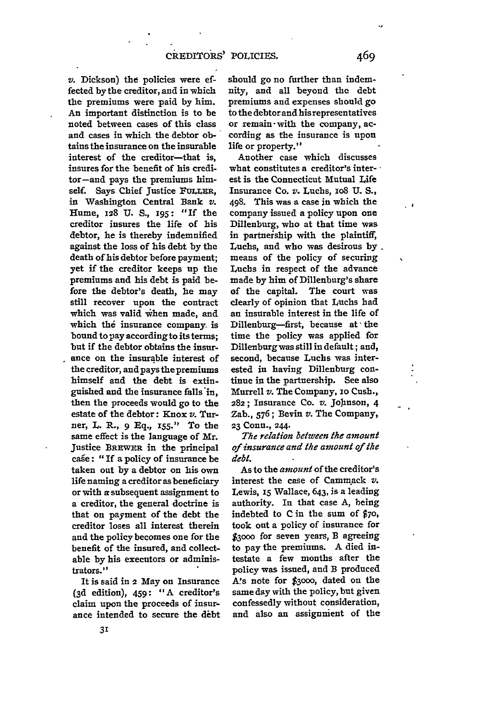*v.* Dickson) the policies were effected **by** the creditor, and in which the premiums were paid **by** him. An important distinction is to be noted between cases of this class and cases in which the debtor obtains the insurance on the insurable interest of the creditor-that is, insures for the benefit of his creditor-and pays the premiums himself. Says Chief Justice **FuLIR,** in Washington Central Bank *v.* Hume, **128 U. S., 195: "If** the creditor insures the life of his debtor, he is thereby indemnified against the loss of his debt **by** the death of his debtor before payment; yet if the creditor keeps up the premiums and his debt is paid before the debtor's death, he may still recover upon the contract which was valid vhen made, and which the insurance company. is bound to pay accordingto its terms; but if the debtor obtains the insurance on the insurable interest of the creditor, and pays the premiums himself and the debt is extinguished and the insurance falls 'in, then the proceeds would go to the estate of the debtor: Knox *v.* Turner, **L. R., 9 Eq., X55."** To the same effect is the language of Mr. Justice BREWER in the principal case: "If a policy of insurance be taken out **by** a debtor on his own life naming a creditor as beneficiary or with a subsequent assignment to a creditor, the general doctrine is that on payment of the debt the creditor loses all interest therein and the policy becomes one for the benefit of the insured, and collectable **by** his executors or administrators."

It is said in 2 May on Insurance **(3d** edition), 459: **"A** creditor's claim upon the proceeds of insurance intended to secure the debt should go no further than indemnity, and all beyond the debt premiums and expenses should go to the debtor and his representatives or remain -with the company, according as the insurance is upon life or property."

Another case which discusses what constitutes a creditor's interest is the Connecticut Mutual Life Insurance Co. *v.* Luehs, io8 **U. S.,** 498. This was a case in which the company issued a policy upon one Dillenburg, who at that time was in partnership with the plaintiff, Luchs, and who was desirous **by.** means of the policy of securing Luchs in respect of the advance made **by** him of Dillenburg's share of the capital. The court was clearly of opinion that Luchs **had** an insurable interest in the life of Dillenburg-first, because at the time the policy was applied for Dillenburg was still in default; and, second, because Luchs was interested in having Dillenburg continue in the partnership. See also Murrell *v.* The Company, io Cush., **282;** Insurance Co. *v.* Johnson, 4 Zab., **576;** Bevin *v.* The Company, **23** Conn., **244.**

*The relation between the amount of insurance and the amount of the debt.*

As to the *amount* of the creditor's interest the case of Cammack v. Lewis, **I5** Wallace, 643, is a leading authority. In that case **A,** being indebted to C in the sum of **\$70,** took out a policy of insurance for \$3ooo for seven years, B agreeing to pay the premiums. **A** died intestate a few months after the policy was issued, and B produced A's note for \$3ooo, dated on the same day with the policy, but given confessedly without consideration, and also an assignment of the  $\blacksquare$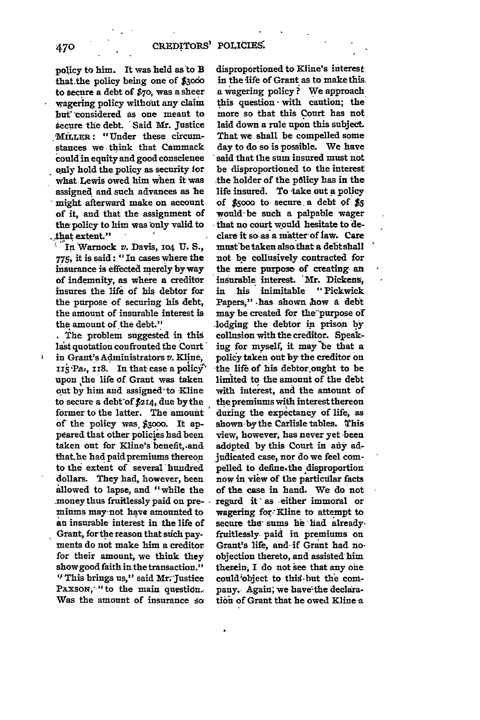policy to him. It was held asto B that.the policy being one of **\$306o** to secure a debt of **\$7o,** was a sheer wagering policy without any claim but considered as one meant to secure the debt. Said Mr. Justice .MiLrR: "Under these circumstances we think that Cammack could in equity and good conscienee only hold the policy as security for what Lewis owed him when it was assigned and such advances as he 'might afterward make on account of it, and that the assignment of the policy to him was only valid to .Ihat extent."

**In** Warnock v. Davis, **io4 U. S., 775,** it is said: "In cases where the insurance is effected merely byway of indemnity, as where a creditor insures the life of his debtor for the purpose of securing his debt, the amount of-insurable interest is the amount of the debt."

**. The** problem suggested in this last quotation confronted the Court' in Grant'sAdministrators v. Kline, **Iis"Pa,, i8.** In that. case a poiic' upon **the** life **of** Grant was taken out **by** him and assigned' to Kline to secure a debt of  $$214$ , due by the former to the latter. The amount of the policy was. **\$3ooo.** It appeared that other policies had been taken out for Kline's benefit, and that he had paid premiums thereon to **the** extent of several'hundred dollars. They had, however, been **allowed** to lapse, and "while the .money thus fruitlessly paid on premiums may-not have amounted to an insurable interest in the life of Grant, for the reason that **sich** payments do not make him a creditor for their amount, we think they showgood faith in.the transaction." " This brings us," said Mr;Justice PAXSON, "to the main question. Was the amount of insurance **so**

disproportioned to Kline's interest in the life of Grant as to make this. a wagering policy? We approach this question with caution; the more so that this Court has not laid down a rule upon this subject That we shall be compelled some day to do so is possible. We have said that the sum insured must not be disproportioned to the interest the holder of the p6licy has in the life insured. To take out a policy of \$5ooo to. secure, a debt **of** *\$5* would- be such a palpable wager that no court would hesitate to de**clare** itsoas'amatter of law. Care must'be taken alsaothat a debtshall **not** be collusively .contracted for the mere purpose of creating, **an** insurable interest. 'Mr. Dickens, in his inimitable "Pickwick Papers," has shown how a debt may be created for the"purpose of lodging the debtor **in** prison **by** collusion with the creditor. Speaking for myself, it may be that a policy taken out **by** the creditor on -the life of his debtor ought to be limited to the amount of the debt with interest, and the amount of the premiums with interest thereon during the expectancy of life, as shown-by the Carlisle tables. This view, however, has never yet been addpted **by** this Court in any adjudicated case, nor do we feel compelled to define.the disproportion now in view of the particilar facts of the case in hand. We do not regard it'as -either immoral or wagering for-'Kline to attempt to secure the sums he had already. fruitlessly. paid in premiums on Grant's life, and-if Grant had **no.** objection thereto, and assisted him therein, **I** do not see that any **one** could'object to this but the company. Again; we have-the declaration of Grant that he owed Kline a

J.